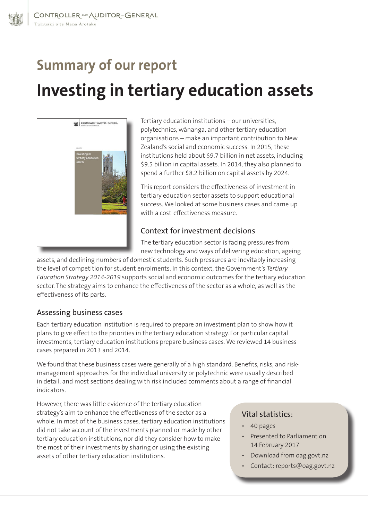# **Summary of our report Investing in tertiary education assets**



Tertiary education institutions – our universities, polytechnics, wānanga, and other tertiary education organisations – make an important contribution to New Zealand's social and economic success. In 2015, these institutions held about \$9.7 billion in net assets, including \$9.5 billion in capital assets. In 2014, they also planned to spend a further \$8.2 billion on capital assets by 2024.

This report considers the effectiveness of investment in tertiary education sector assets to support educational success. We looked at some business cases and came up with a cost-effectiveness measure.

#### Context for investment decisions

The tertiary education sector is facing pressures from new technology and ways of delivering education, ageing

assets, and declining numbers of domestic students. Such pressures are inevitably increasing the level of competition for student enrolments. In this context, the Government's *Tertiary Education Strategy 2014-2019* supports social and economic outcomes for the tertiary education sector. The strategy aims to enhance the effectiveness of the sector as a whole, as well as the effectiveness of its parts.

## Assessing business cases

Each tertiary education institution is required to prepare an investment plan to show how it plans to give effect to the priorities in the tertiary education strategy. For particular capital investments, tertiary education institutions prepare business cases. We reviewed 14 business cases prepared in 2013 and 2014.

We found that these business cases were generally of a high standard. Benefits, risks, and riskmanagement approaches for the individual university or polytechnic were usually described in detail, and most sections dealing with risk included comments about a range of financial indicators.

However, there was little evidence of the tertiary education strategy's aim to enhance the effectiveness of the sector as a whole. In most of the business cases, tertiary education institutions did not take account of the investments planned or made by other tertiary education institutions, nor did they consider how to make the most of their investments by sharing or using the existing assets of other tertiary education institutions.

## Vital statistics:

- 40 pages
- Presented to Parliament on 14 February 2017
- Download from oag.govt.nz
- Contact: reports@oag.govt.nz